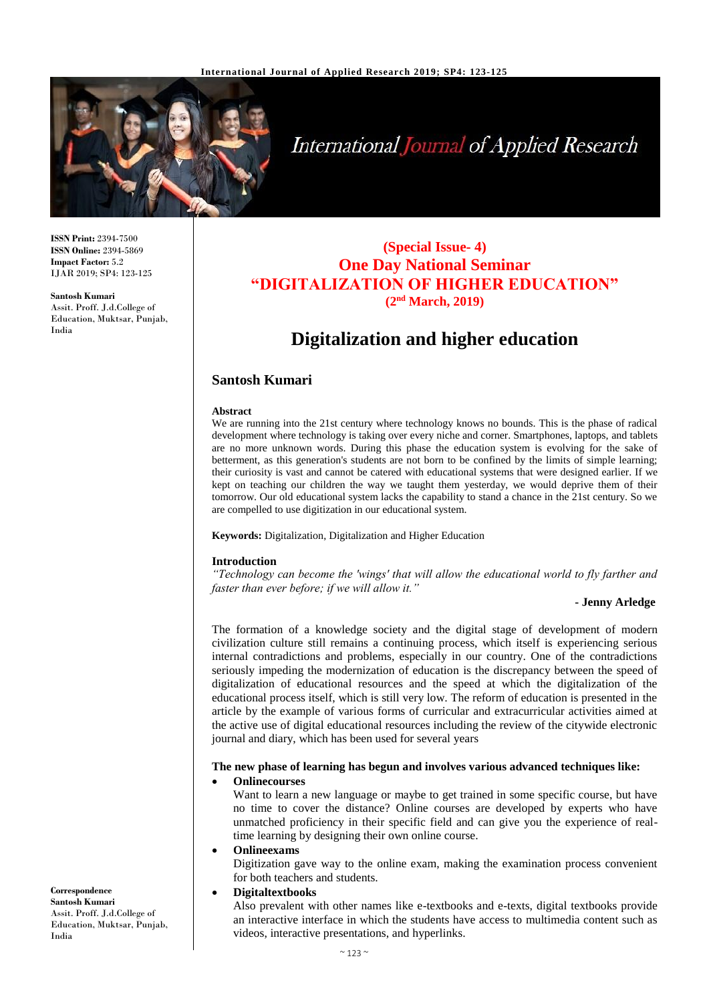

# **International Journal of Applied Research**

**ISSN Print:** 2394-7500 **ISSN Online:** 2394-5869 **Impact Factor:** 5.2 IJAR 2019; SP4: 123-125

**Santosh Kumari** Assit. Proff. J.d.College of Education, Muktsar, Punjab, India

### **(Special Issue- 4) One Day National Seminar "DIGITALIZATION OF HIGHER EDUCATION" (2nd March, 2019)**

## **Digitalization and higher education**

#### **Santosh Kumari**

#### **Abstract**

We are running into the 21st century where technology knows no bounds. This is the phase of radical development where technology is taking over every niche and corner. Smartphones, laptops, and tablets are no more unknown words. During this phase the education system is evolving for the sake of betterment, as this generation's students are not born to be confined by the limits of simple learning; their curiosity is vast and cannot be catered with educational systems that were designed earlier. If we kept on teaching our children the way we taught them yesterday, we would deprive them of their tomorrow. Our old educational system lacks the capability to stand a chance in the 21st century. So we are compelled to use digitization in our educational system.

**Keywords:** Digitalization, Digitalization and Higher Education

#### **Introduction**

*"Technology can become the 'wings' that will allow the educational world to fly farther and faster than ever before; if we will allow it."*

#### **- Jenny Arledge**

The formation of a knowledge society and the digital stage of development of modern civilization culture still remains a continuing process, which itself is experiencing serious internal contradictions and problems, especially in our country. One of the contradictions seriously impeding the modernization of education is the discrepancy between the speed of digitalization of educational resources and the speed at which the digitalization of the educational process itself, which is still very low. The reform of education is presented in the article by the example of various forms of curricular and extracurricular activities aimed at the active use of digital educational resources including the review of the citywide electronic journal and diary, which has been used for several years

#### **The new phase of learning has begun and involves various advanced techniques like:**

#### **Onlinecourses**

Want to learn a new language or maybe to get trained in some specific course, but have no time to cover the distance? Online courses are developed by experts who have unmatched proficiency in their specific field and can give you the experience of realtime learning by designing their own online course.

#### **Onlineexams**

Digitization gave way to the online exam, making the examination process convenient for both teachers and students.

#### **Digitaltextbooks**

Also prevalent with other names like e-textbooks and e-texts, digital textbooks provide an interactive interface in which the students have access to multimedia content such as videos, interactive presentations, and hyperlinks.

**Correspondence Santosh Kumari**  Assit. Proff. J.d.College of Education, Muktsar, Punjab, India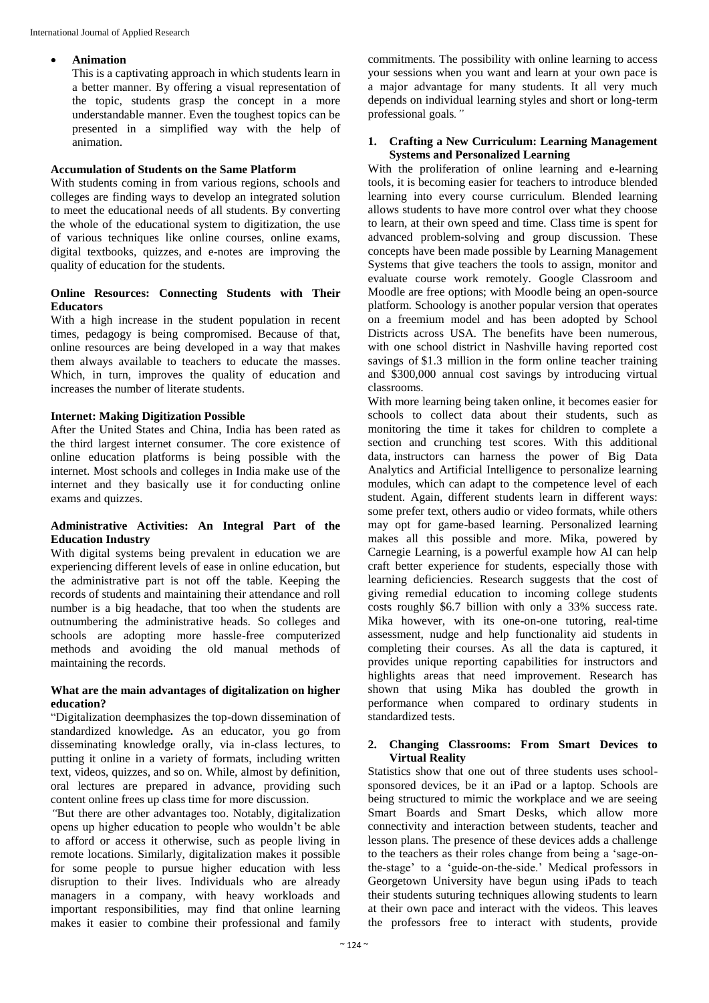#### **Animation**

This is a captivating approach in which students learn in a better manner. By offering a visual representation of the topic, students grasp the concept in a more understandable manner. Even the toughest topics can be presented in a simplified way with the help of animation.

#### **Accumulation of Students on the Same Platform**

With students coming in from various regions, schools and colleges are finding ways to develop an integrated solution to meet the educational needs of all students. By converting the whole of the educational system to digitization, the use of various techniques like online courses, online exams, digital textbooks, quizzes, and e-notes are improving the quality of education for the students.

#### **Online Resources: Connecting Students with Their Educators**

With a high increase in the student population in recent times, pedagogy is being compromised. Because of that, online resources are being developed in a way that makes them always available to teachers to educate the masses. Which, in turn, improves the quality of education and increases the number of literate students.

#### **Internet: Making Digitization Possible**

After the United States and China, India has been rated as the third largest internet consumer. The core existence of online education platforms is being possible with the internet. Most schools and colleges in India make use of the internet and they basically use it for conducting online exams and quizzes.

#### **Administrative Activities: An Integral Part of the Education Industry**

With digital systems being prevalent in education we are experiencing different levels of ease in online education, but the administrative part is not off the table. Keeping the records of students and maintaining their attendance and roll number is a big headache, that too when the students are outnumbering the administrative heads. So colleges and schools are adopting more hassle-free computerized methods and avoiding the old manual methods of maintaining the records.

#### **What are the main advantages of digitalization on higher education?**

"Digitalization deemphasizes the top-down dissemination of standardized knowledge*.* As an educator, you go from disseminating knowledge orally, via in-class lectures, to putting it online in a variety of formats, including written text, videos, quizzes, and so on. While, almost by definition, oral lectures are prepared in advance, providing such content online frees up class time for more discussion*.*

*"*But there are other advantages too. Notably, digitalization opens up higher education to people who wouldn't be able to afford or access it otherwise, such as people living in remote locations. Similarly, digitalization makes it possible for some people to pursue higher education with less disruption to their lives. Individuals who are already managers in a company, with heavy workloads and important responsibilities, may find that online learning makes it easier to combine their professional and family

commitments*.* The possibility with online learning to access your sessions when you want and learn at your own pace is a major advantage for many students. It all very much depends on individual learning styles and short or long-term professional goals*."*

#### **1. Crafting a New Curriculum: Learning Management Systems and Personalized Learning**

With the proliferation of online learning and e-learning tools, it is becoming easier for teachers to introduce blended learning into every course curriculum. Blended learning allows students to have more control over what they choose to learn, at their own speed and time. Class time is spent for advanced problem-solving and group discussion. These concepts have been made possible by Learning Management Systems that give teachers the tools to assign, monitor and evaluate course work remotely. Google Classroom and Moodle are free options; with Moodle being an open-source platform. Schoology is another popular version that operates on a freemium model and has been adopted by School Districts across USA. The benefits have been numerous, with one school district in Nashville having reported cost savings of \$1.3 million in the form online teacher training and \$300,000 annual cost savings by introducing virtual classrooms.

With more learning being taken online, it becomes easier for schools to collect data about their students, such as monitoring the time it takes for children to complete a section and crunching test scores. With this additional data, instructors can harness the power of Big Data Analytics and Artificial Intelligence to personalize learning modules, which can adapt to the competence level of each student. Again, different students learn in different ways: some prefer text, others audio or video formats, while others may opt for game-based learning. Personalized learning makes all this possible and more. Mika, powered by Carnegie Learning, is a powerful example how AI can help craft better experience for students, especially those with learning deficiencies. Research suggests that the cost of giving remedial education to incoming college students costs roughly \$6.7 billion with only a 33% success rate. Mika however, with its one-on-one tutoring, real-time assessment, nudge and help functionality aid students in completing their courses. As all the data is captured, it provides unique reporting capabilities for instructors and highlights areas that need improvement. Research has shown that using Mika has doubled the growth in performance when compared to ordinary students in standardized tests.

#### **2. Changing Classrooms: From Smart Devices to Virtual Reality**

Statistics show that one out of three students uses schoolsponsored devices, be it an iPad or a laptop. Schools are being structured to mimic the workplace and we are seeing Smart Boards and Smart Desks, which allow more connectivity and interaction between students, teacher and lesson plans. The presence of these devices adds a challenge to the teachers as their roles change from being a 'sage-onthe-stage' to a 'guide-on-the-side.' Medical professors in Georgetown University have begun using iPads to teach their students suturing techniques allowing students to learn at their own pace and interact with the videos. This leaves the professors free to interact with students, provide